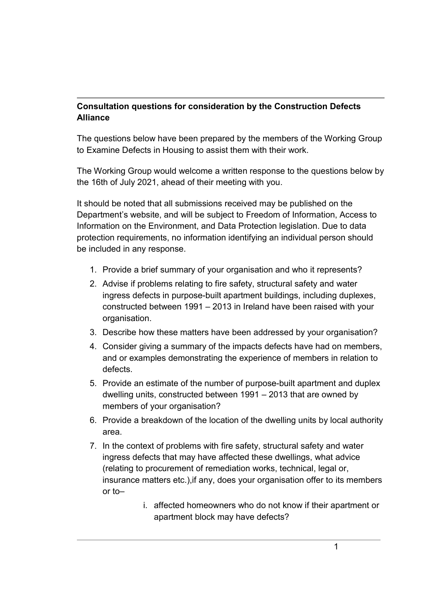## Consultation questions for consideration by the Construction Defects Alliance

The questions below have been prepared by the members of the Working Group to Examine Defects in Housing to assist them with their work.

The Working Group would welcome a written response to the questions below by the 16th of July 2021, ahead of their meeting with you.

It should be noted that all submissions received may be published on the Department's website, and will be subject to Freedom of Information, Access to Information on the Environment, and Data Protection legislation. Due to data protection requirements, no information identifying an individual person should be included in any response.

- 1. Provide a brief summary of your organisation and who it represents?
- 2. Advise if problems relating to fire safety, structural safety and water ingress defects in purpose-built apartment buildings, including duplexes, constructed between 1991 – 2013 in Ireland have been raised with your organisation.
- 3. Describe how these matters have been addressed by your organisation?
- 4. Consider giving a summary of the impacts defects have had on members, and or examples demonstrating the experience of members in relation to defects.
- 5. Provide an estimate of the number of purpose-built apartment and duplex dwelling units, constructed between 1991 – 2013 that are owned by members of your organisation?
- 6. Provide a breakdown of the location of the dwelling units by local authority area.
- 7. In the context of problems with fire safety, structural safety and water ingress defects that may have affected these dwellings, what advice (relating to procurement of remediation works, technical, legal or, insurance matters etc.),if any, does your organisation offer to its members or to–
	- i. affected homeowners who do not know if their apartment or apartment block may have defects?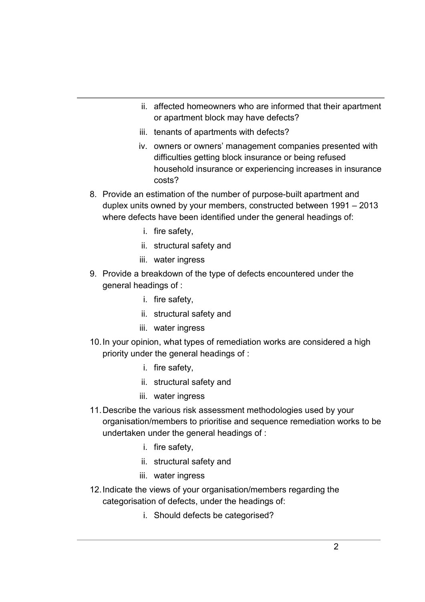- ii. affected homeowners who are informed that their apartment or apartment block may have defects?
- iii. tenants of apartments with defects?
- iv. owners or owners' management companies presented with difficulties getting block insurance or being refused household insurance or experiencing increases in insurance costs?
- 8. Provide an estimation of the number of purpose-built apartment and duplex units owned by your members, constructed between 1991 – 2013 where defects have been identified under the general headings of:
	- i. fire safety,
	- ii. structural safety and
	- iii. water ingress
- 9. Provide a breakdown of the type of defects encountered under the general headings of :
	- i. fire safety,
	- ii. structural safety and
	- iii. water ingress
- 10. In your opinion, what types of remediation works are considered a high priority under the general headings of :
	- i. fire safety,
	- ii. structural safety and
	- iii. water ingress
- 11. Describe the various risk assessment methodologies used by your organisation/members to prioritise and sequence remediation works to be undertaken under the general headings of :
	- i. fire safety,
	- ii. structural safety and
	- iii. water ingress
- 12. Indicate the views of your organisation/members regarding the categorisation of defects, under the headings of:
	- i. Should defects be categorised?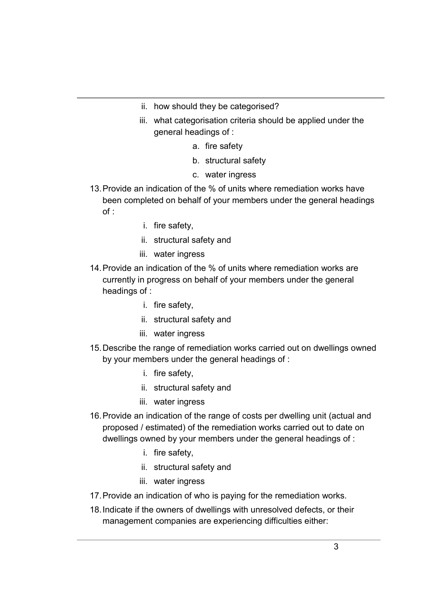- ii. how should they be categorised?
- iii. what categorisation criteria should be applied under the general headings of :
	- a. fire safety
	- b. structural safety
	- c. water ingress
- 13. Provide an indication of the % of units where remediation works have been completed on behalf of your members under the general headings of :
	- i. fire safety,
	- ii. structural safety and
	- iii. water ingress
- 14. Provide an indication of the % of units where remediation works are currently in progress on behalf of your members under the general headings of :
	- i. fire safety,
	- ii. structural safety and
	- iii. water ingress
- 15. Describe the range of remediation works carried out on dwellings owned by your members under the general headings of :
	- i. fire safety,
	- ii. structural safety and
	- iii. water ingress
- 16. Provide an indication of the range of costs per dwelling unit (actual and proposed / estimated) of the remediation works carried out to date on dwellings owned by your members under the general headings of :
	- i. fire safety,
	- ii. structural safety and
	- iii. water ingress
- 17. Provide an indication of who is paying for the remediation works.
- 18. Indicate if the owners of dwellings with unresolved defects, or their management companies are experiencing difficulties either: